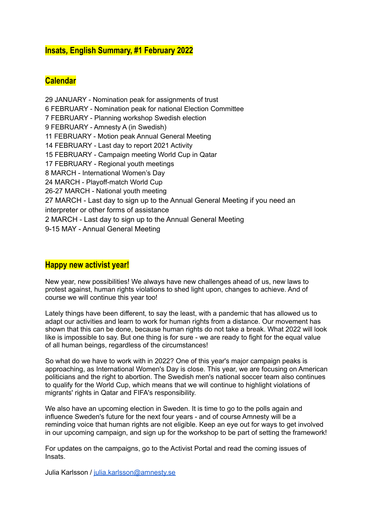# **Insats***,* **English Summary, #1 February 2022**

# **Calendar**

 JANUARY - Nomination peak for assignments of trust FEBRUARY - Nomination peak for national Election Committee FEBRUARY - Planning workshop Swedish election FEBRUARY - Amnesty A (in Swedish) FEBRUARY - Motion peak Annual General Meeting FEBRUARY - Last day to report 2021 Activity FEBRUARY - Campaign meeting World Cup in Qatar FEBRUARY - Regional youth meetings MARCH - International Women's Day MARCH - Playoff-match World Cup 26-27 MARCH - National youth meeting MARCH - Last day to sign up to the Annual General Meeting if you need an interpreter or other forms of assistance MARCH - Last day to sign up to the Annual General Meeting 9-15 MAY - Annual General Meeting

### **Happy new activist year!**

New year, new possibilities! We always have new challenges ahead of us, new laws to protest against, human rights violations to shed light upon, changes to achieve. And of course we will continue this year too!

Lately things have been different, to say the least, with a pandemic that has allowed us to adapt our activities and learn to work for human rights from a distance. Our movement has shown that this can be done, because human rights do not take a break. What 2022 will look like is impossible to say. But one thing is for sure - we are ready to fight for the equal value of all human beings, regardless of the circumstances!

So what do we have to work with in 2022? One of this year's major campaign peaks is approaching, as International Women's Day is close. This year, we are focusing on American politicians and the right to abortion. The Swedish men's national soccer team also continues to qualify for the World Cup, which means that we will continue to highlight violations of migrants' rights in Qatar and FIFA's responsibility.

We also have an upcoming election in Sweden. It is time to go to the polls again and influence Sweden's future for the next four years - and of course Amnesty will be a reminding voice that human rights are not eligible. Keep an eye out for ways to get involved in our upcoming campaign, and sign up for the workshop to be part of setting the framework!

For updates on the campaigns, go to the Activist Portal and read the coming issues of Insats.

Julia Karlsson / [julia.karlsson@amnesty.se](mailto:julia.karlsson@amnesty.se)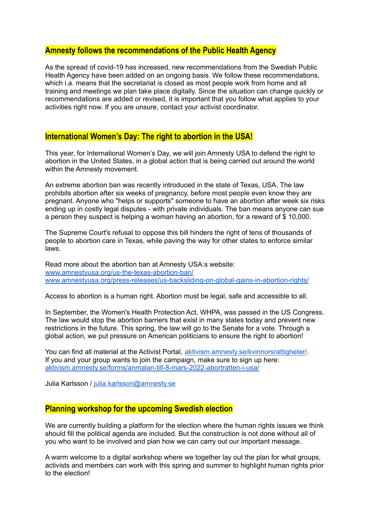### **Amnesty follows the recommendations of the Public Health Agency**

As the spread of covid-19 has increased, new recommendations from the Swedish Public Health Agency have been added on an ongoing basis. We follow these recommendations, which i.a. means that the secretariat is closed as most people work from home and all training and meetings we plan take place digitally. Since the situation can change quickly or recommendations are added or revised, it is important that you follow what applies to your activities right now. If you are unsure, contact your activist coordinator.

### **International Women's Day: The right to abortion in the USA!**

This year, for International Women's Day, we will join Amnesty USA to defend the right to abortion in the United States, in a global action that is being carried out around the world within the Amnesty movement.

An extreme abortion ban was recently introduced in the state of Texas, USA. The law prohibits abortion after six weeks of pregnancy, before most people even know they are pregnant. Anyone who "helps or supports" someone to have an abortion after week six risks ending up in costly legal disputes - with private individuals. The ban means anyone can sue a person they suspect is helping a woman having an abortion, for a reward of \$ 10,000.

The Supreme Court's refusal to oppose this bill hinders the right of tens of thousands of people to abortion care in Texas, while paving the way for other states to enforce similar laws.

Read more about the abortion ban at Amnesty USA:s website: [www.amnestyusa.org/us-the-texas-abortion-ban/](https://www.amnestyusa.org/us-the-texas-abortion-ban/) [www.amnestyusa.org/press-releases/us-backsliding-on-global-gains-in-abortion-rights/](https://www.amnestyusa.org/press-releases/us-backsliding-on-global-gains-in-abortion-rights/)

Access to abortion is a human right. Abortion must be legal, safe and accessible to all.

In September, the Women's Health Protection Act, WHPA, was passed in the US Congress. The law would stop the abortion barriers that exist in many states today and prevent new restrictions in the future. This spring, the law will go to the Senate for a vote. Through a global action, we put pressure on American politicians to ensure the right to abortion!

You can find all material at the Activist Portal, [aktivism.amnesty.se/kvinnorsrattigheter/](https://aktivism.amnesty.se/kvinnorsrattigheter/). If you and your group wants to join the campaign, make sure to sign up here: [aktivism.amnesty.se/forms/anmalan-till-8-mars-2022-abortratten-i-usa/](https://aktivism.amnesty.se/forms/anmalan-till-8-mars-2022-abortratten-i-usa/)

Julia Karlsson / [julia.karlsson@amnesty.se](mailto:julia.karlsson@amnesty.se)

# **Planning workshop for the upcoming Swedish election**

We are currently building a platform for the election where the human rights issues we think should fill the political agenda are included. But the construction is not done without all of you who want to be involved and plan how we can carry out our important message.

A warm welcome to a digital workshop where we together lay out the plan for what groups, activists and members can work with this spring and summer to highlight human rights prior to the election!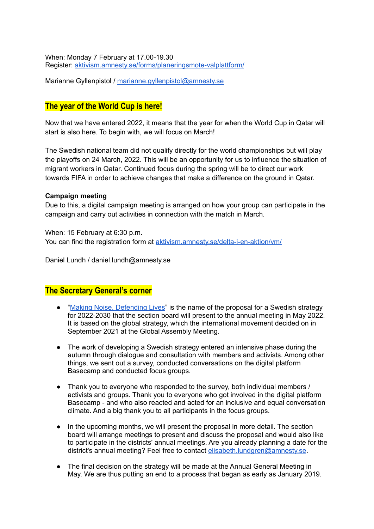When: Monday 7 February at 17.00-19.30 Register: [aktivism.amnesty.se/forms/planeringsmote-valplattform/](https://aktivism.amnesty.se/forms/planeringsmote-valplattform/)

Marianne Gyllenpistol / [marianne.gyllenpistol@amnesty.se](mailto:marianne.gyllenpistol@amnesty.se)

# **The year of the World Cup is here!**

Now that we have entered 2022, it means that the year for when the World Cup in Qatar will start is also here. To begin with, we will focus on March!

The Swedish national team did not qualify directly for the world championships but will play the playoffs on 24 March, 2022. This will be an opportunity for us to influence the situation of migrant workers in Qatar. Continued focus during the spring will be to direct our work towards FIFA in order to achieve changes that make a difference on the ground in Qatar.

#### **Campaign meeting**

Due to this, a digital campaign meeting is arranged on how your group can participate in the campaign and carry out activities in connection with the match in March.

When: 15 February at 6:30 p.m. You can find the registration form at [aktivism.amnesty.se/delta-i-en-aktion/vm/](https://aktivism.amnesty.se/delta-i-en-aktion/vm/)

Daniel Lundh / daniel.lundh@amnesty.se

### **The Secretary General's corner**

- "Making Noise. [Defending](https://drive.google.com/file/d/1r03-o2iNsOT1p4LwJ0lFxiaxE-uksxrD/view) Lives" is the name of the proposal for a Swedish strategy for 2022-2030 that the section board will present to the annual meeting in May 2022. It is based on the global strategy, which the international movement decided on in September 2021 at the Global Assembly Meeting.
- The work of developing a Swedish strategy entered an intensive phase during the autumn through dialogue and consultation with members and activists. Among other things, we sent out a survey, conducted conversations on the digital platform Basecamp and conducted focus groups.
- Thank you to everyone who responded to the survey, both individual members / activists and groups. Thank you to everyone who got involved in the digital platform Basecamp - and who also reacted and acted for an inclusive and equal conversation climate. And a big thank you to all participants in the focus groups.
- In the upcoming months, we will present the proposal in more detail. The section board will arrange meetings to present and discuss the proposal and would also like to participate in the districts' annual meetings. Are you already planning a date for the district's annual meeting? Feel free to contact [elisabeth.lundgren@amnesty.se](mailto:elisabeth.lundgren@amnesty.se).
- The final decision on the strategy will be made at the Annual General Meeting in May. We are thus putting an end to a process that began as early as January 2019.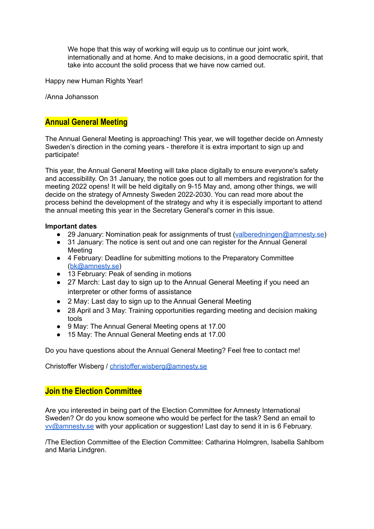We hope that this way of working will equip us to continue our joint work, internationally and at home. And to make decisions, in a good democratic spirit, that take into account the solid process that we have now carried out.

Happy new Human Rights Year!

/Anna Johansson

# **Annual General Meeting**

The Annual General Meeting is approaching! This year, we will together decide on Amnesty Sweden's direction in the coming years - therefore it is extra important to sign up and participate!

This year, the Annual General Meeting will take place digitally to ensure everyone's safety and accessibility. On 31 January, the notice goes out to all members and registration for the meeting 2022 opens! It will be held digitally on 9-15 May and, among other things, we will decide on the strategy of Amnesty Sweden 2022-2030. You can read more about the process behind the development of the strategy and why it is especially important to attend the annual meeting this year in the Secretary General's corner in this issue.

#### **Important dates**

- 29 January: Nomination peak for assignments of trust ([valberedningen@amnesty.se\)](mailto:valberedningen@amnesty.se)
- 31 January: The notice is sent out and one can register for the Annual General Meeting
- 4 February: Deadline for submitting motions to the Preparatory Committee ([bk@amnesty.se\)](mailto:bk@amnesty.se)
- 13 February: Peak of sending in motions
- 27 March: Last day to sign up to the Annual General Meeting if you need an interpreter or other forms of assistance
- 2 May: Last day to sign up to the Annual General Meeting
- 28 April and 3 May: Training opportunities regarding meeting and decision making tools
- 9 May: The Annual General Meeting opens at 17.00
- 15 May: The Annual General Meeting ends at 17.00

Do you have questions about the Annual General Meeting? Feel free to contact me!

Christoffer Wisberg / [christoffer.wisberg@amnesty.se](mailto:christoffer.wisberg@amnesty.se)

## **Join the Election Committee**

Are you interested in being part of the Election Committee for Amnesty International Sweden? Or do you know someone who would be perfect for the task? Send an email to [vv@amnesty.se](mailto:vv@amnesty.se) with your application or suggestion! Last day to send it in is 6 February.

/The Election Committee of the Election Committee: Catharina Holmgren, Isabella Sahlbom and Maria Lindgren.